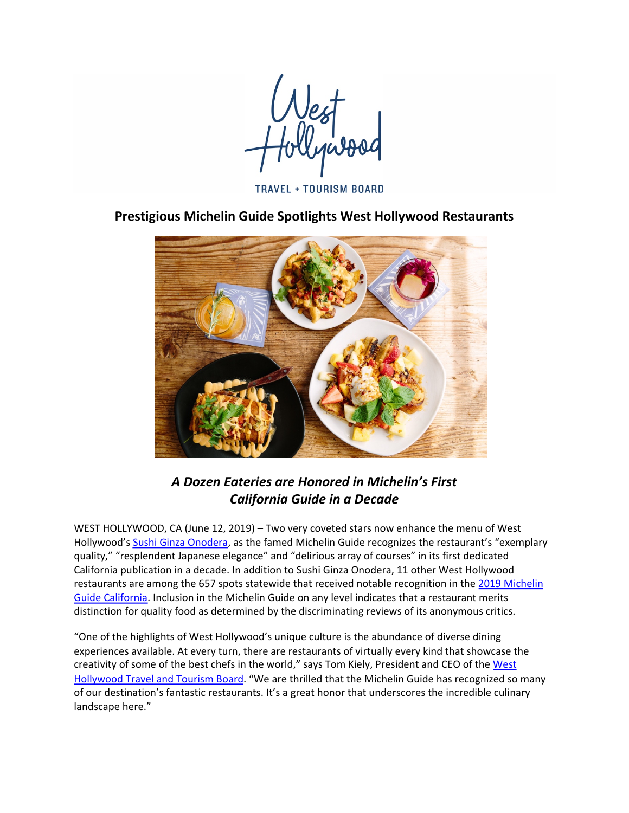**TRAVEL + TOURISM BOARD** 

**Prestigious Michelin Guide Spotlights West Hollywood Restaurants**



## *A Dozen Eateries are Honored in Michelin's First California Guide in a Decade*

WEST HOLLYWOOD, CA (June 12, 2019) – Two very coveted stars now enhance the menu of West Hollywood's Sushi Ginza Onodera, as the famed Michelin Guide recognizes the restaurant's "exemplary quality," "resplendent Japanese elegance" and "delirious array of courses" in its first dedicated California publication in a decade. In addition to Sushi Ginza Onodera, 11 other West Hollywood restaurants are among the 657 spots statewide that received notable recognition in the 2019 Michelin Guide California. Inclusion in the Michelin Guide on any level indicates that a restaurant merits distinction for quality food as determined by the discriminating reviews of its anonymous critics.

"One of the highlights of West Hollywood's unique culture is the abundance of diverse dining experiences available. At every turn, there are restaurants of virtually every kind that showcase the creativity of some of the best chefs in the world," says Tom Kiely, President and CEO of the West Hollywood Travel and Tourism Board. "We are thrilled that the Michelin Guide has recognized so many of our destination's fantastic restaurants. It's a great honor that underscores the incredible culinary landscape here."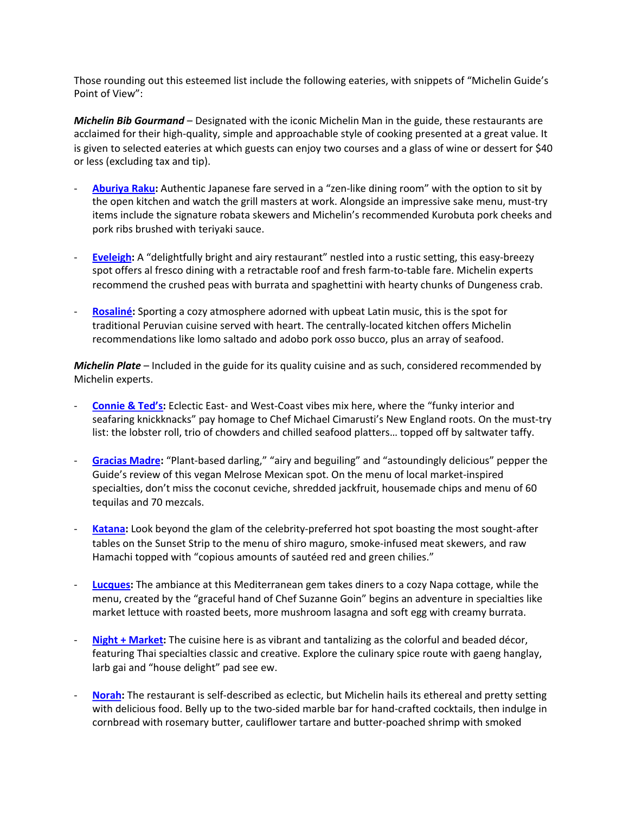Those rounding out this esteemed list include the following eateries, with snippets of "Michelin Guide's Point of View":

*Michelin Bib Gourmand* – Designated with the iconic Michelin Man in the guide, these restaurants are acclaimed for their high-quality, simple and approachable style of cooking presented at a great value. It is given to selected eateries at which guests can enjoy two courses and a glass of wine or dessert for \$40 or less (excluding tax and tip).

- Aburiya Raku: Authentic Japanese fare served in a "zen-like dining room" with the option to sit by the open kitchen and watch the grill masters at work. Alongside an impressive sake menu, must-try items include the signature robata skewers and Michelin's recommended Kurobuta pork cheeks and pork ribs brushed with teriyaki sauce.
- **Eveleigh:** A "delightfully bright and airy restaurant" nestled into a rustic setting, this easy-breezy spot offers al fresco dining with a retractable roof and fresh farm-to-table fare. Michelin experts recommend the crushed peas with burrata and spaghettini with hearty chunks of Dungeness crab.
- **Rosaliné:** Sporting a cozy atmosphere adorned with upbeat Latin music, this is the spot for traditional Peruvian cuisine served with heart. The centrally-located kitchen offers Michelin recommendations like lomo saltado and adobo pork osso bucco, plus an array of seafood.

*Michelin Plate* – Included in the guide for its quality cuisine and as such, considered recommended by Michelin experts.

- **Connie & Ted's:** Eclectic East- and West-Coast vibes mix here, where the "funky interior and seafaring knickknacks" pay homage to Chef Michael Cimarusti's New England roots. On the must-try list: the lobster roll, trio of chowders and chilled seafood platters... topped off by saltwater taffy.
- **Gracias Madre:** "Plant-based darling," "airy and beguiling" and "astoundingly delicious" pepper the Guide's review of this vegan Melrose Mexican spot. On the menu of local market-inspired specialties, don't miss the coconut ceviche, shredded jackfruit, housemade chips and menu of 60 tequilas and 70 mezcals.
- **Katana:** Look beyond the glam of the celebrity-preferred hot spot boasting the most sought-after tables on the Sunset Strip to the menu of shiro maguro, smoke-infused meat skewers, and raw Hamachi topped with "copious amounts of sautéed red and green chilies."
- **Lucques:** The ambiance at this Mediterranean gem takes diners to a cozy Napa cottage, while the menu, created by the "graceful hand of Chef Suzanne Goin" begins an adventure in specialties like market lettuce with roasted beets, more mushroom lasagna and soft egg with creamy burrata.
- **Night + Market:** The cuisine here is as vibrant and tantalizing as the colorful and beaded décor, featuring Thai specialties classic and creative. Explore the culinary spice route with gaeng hanglay, larb gai and "house delight" pad see ew.
- **Norah:** The restaurant is self-described as eclectic, but Michelin hails its ethereal and pretty setting with delicious food. Belly up to the two-sided marble bar for hand-crafted cocktails, then indulge in cornbread with rosemary butter, cauliflower tartare and butter-poached shrimp with smoked